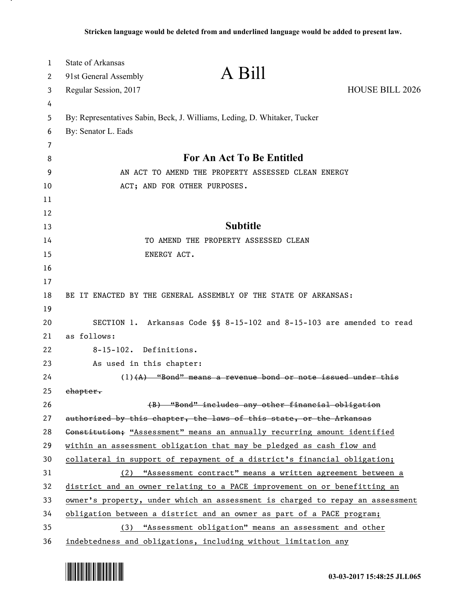| 1      | State of Arkansas        | A Bill                                                                        |                        |
|--------|--------------------------|-------------------------------------------------------------------------------|------------------------|
| 2      | 91st General Assembly    |                                                                               |                        |
| 3      | Regular Session, 2017    |                                                                               | <b>HOUSE BILL 2026</b> |
| 4<br>5 |                          | By: Representatives Sabin, Beck, J. Williams, Leding, D. Whitaker, Tucker     |                        |
| 6      | By: Senator L. Eads      |                                                                               |                        |
| 7      |                          |                                                                               |                        |
| 8      |                          | For An Act To Be Entitled                                                     |                        |
| 9      |                          | AN ACT TO AMEND THE PROPERTY ASSESSED CLEAN ENERGY                            |                        |
| 10     |                          | ACT; AND FOR OTHER PURPOSES.                                                  |                        |
| 11     |                          |                                                                               |                        |
| 12     |                          |                                                                               |                        |
| 13     |                          | <b>Subtitle</b>                                                               |                        |
| 14     |                          | TO AMEND THE PROPERTY ASSESSED CLEAN                                          |                        |
| 15     |                          | ENERGY ACT.                                                                   |                        |
| 16     |                          |                                                                               |                        |
| 17     |                          |                                                                               |                        |
| 18     |                          | BE IT ENACTED BY THE GENERAL ASSEMBLY OF THE STATE OF ARKANSAS:               |                        |
| 19     |                          |                                                                               |                        |
| 20     |                          | SECTION 1. Arkansas Code §§ 8-15-102 and 8-15-103 are amended to read         |                        |
| 21     | as follows:              |                                                                               |                        |
| 22     | 8-15-102. Definitions.   |                                                                               |                        |
| 23     | As used in this chapter: |                                                                               |                        |
| 24     |                          | $(1)$ $($ A $)$ "Bond" means a revenue bond or note issued under this         |                        |
| 25     | chapter.                 |                                                                               |                        |
| 26     |                          | (B) "Bond" includes any other financial obligation                            |                        |
| 27     |                          | authorized by this chapter, the laws of this state, or the Arkansas           |                        |
| 28     |                          | Gonstitution; "Assessment" means an annually recurring amount identified      |                        |
| 29     |                          | within an assessment obligation that may be pledged as cash flow and          |                        |
| 30     |                          | collateral in support of repayment of a district's financial obligation;      |                        |
| 31     |                          | (2) "Assessment contract" means a written agreement between a                 |                        |
| 32     |                          | district and an owner relating to a PACE improvement on or benefitting an     |                        |
| 33     |                          | owner's property, under which an assessment is charged to repay an assessment |                        |
| 34     |                          | obligation between a district and an owner as part of a PACE program;         |                        |
| 35     | (3)                      | "Assessment obligation" means an assessment and other                         |                        |
| 36     |                          | indebtedness and obligations, including without limitation any                |                        |



.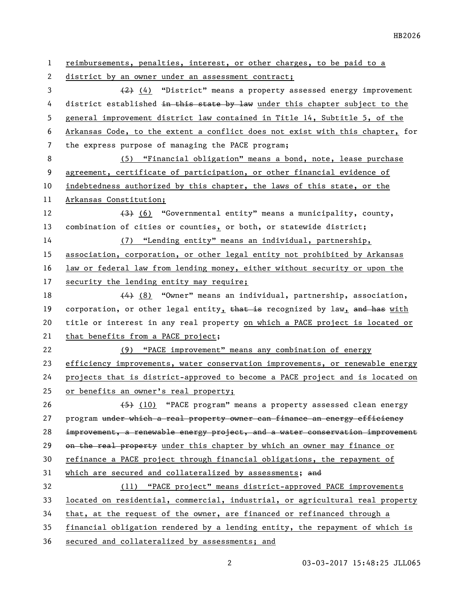reimbursements, penalties, interest, or other charges, to be paid to a district by an owner under an assessment contract; (2) (4) "District" means a property assessed energy improvement 4 district established in this state by law under this chapter subject to the general improvement district law contained in Title 14, Subtitle 5, of the Arkansas Code, to the extent a conflict does not exist with this chapter, for the express purpose of managing the PACE program; (5) "Financial obligation" means a bond, note, lease purchase agreement, certificate of participation, or other financial evidence of indebtedness authorized by this chapter, the laws of this state, or the Arkansas Constitution; 12 (3) (6) "Governmental entity" means a municipality, county, combination of cities or counties, or both, or statewide district; (7) "Lending entity" means an individual, partnership, association, corporation, or other legal entity not prohibited by Arkansas law or federal law from lending money, either without security or upon the security the lending entity may require; 18 (4) (8) "Owner" means an individual, partnership, association, 19 corporation, or other legal entity, that is recognized by law, and has with 20 title or interest in any real property on which a PACE project is located or that benefits from a PACE project; (9) "PACE improvement" means any combination of energy efficiency improvements, water conservation improvements, or renewable energy projects that is district-approved to become a PACE project and is located on or benefits an owner's real property; 26 (5) (10) "PACE program" means a property assessed clean energy 27 program under which a real property owner can finance an energy efficiency improvement, a renewable energy project, and a water conservation improvement 29 on the real property under this chapter by which an owner may finance or refinance a PACE project through financial obligations, the repayment of 31 which are secured and collateralized by assessments; and (11) "PACE project" means district-approved PACE improvements located on residential, commercial, industrial, or agricultural real property that, at the request of the owner, are financed or refinanced through a financial obligation rendered by a lending entity, the repayment of which is secured and collateralized by assessments; and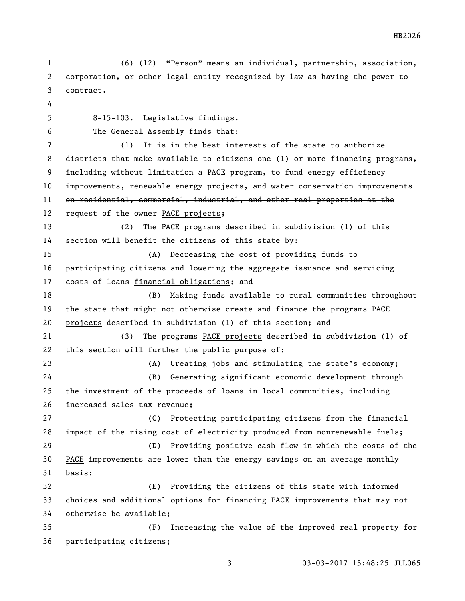(6) (12) "Person" means an individual, partnership, association, corporation, or other legal entity recognized by law as having the power to contract. 8-15-103. Legislative findings. The General Assembly finds that: (1) It is in the best interests of the state to authorize districts that make available to citizens one (1) or more financing programs, 9 including without limitation a PACE program, to fund energy efficiency improvements, renewable energy projects, and water conservation improvements 11 on residential, commercial, industrial, and other real properties at the 12 request of the owner PACE projects; (2) The PACE programs described in subdivision (1) of this section will benefit the citizens of this state by: (A) Decreasing the cost of providing funds to participating citizens and lowering the aggregate issuance and servicing 17 costs of <del>loans</del> financial obligations; and (B) Making funds available to rural communities throughout 19 the state that might not otherwise create and finance the programs PACE projects described in subdivision (1) of this section; and 21 (3) The programs PACE projects described in subdivision (1) of this section will further the public purpose of: (A) Creating jobs and stimulating the state's economy; (B) Generating significant economic development through the investment of the proceeds of loans in local communities, including increased sales tax revenue; (C) Protecting participating citizens from the financial impact of the rising cost of electricity produced from nonrenewable fuels; (D) Providing positive cash flow in which the costs of the 30 PACE improvements are lower than the energy savings on an average monthly basis; (E) Providing the citizens of this state with informed choices and additional options for financing PACE improvements that may not otherwise be available; (F) Increasing the value of the improved real property for participating citizens;

HB2026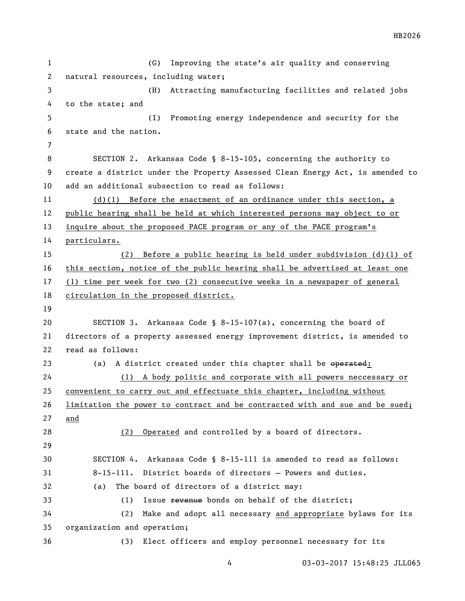(G) Improving the state's air quality and conserving natural resources, including water; (H) Attracting manufacturing facilities and related jobs to the state; and (I) Promoting energy independence and security for the state and the nation. SECTION 2. Arkansas Code § 8-15-105, concerning the authority to create a district under the Property Assessed Clean Energy Act, is amended to add an additional subsection to read as follows: (d)(1) Before the enactment of an ordinance under this section, a public hearing shall be held at which interested persons may object to or inquire about the proposed PACE program or any of the PACE program's particulars. (2) Before a public hearing is held under subdivision (d)(1) of this section, notice of the public hearing shall be advertised at least one (1) time per week for two (2) consecutive weeks in a newspaper of general circulation in the proposed district. SECTION 3. Arkansas Code § 8-15-107(a), concerning the board of directors of a property assessed energy improvement district, is amended to read as follows: 23 (a) A district created under this chapter shall be operated: (1) A body politic and corporate with all powers neccessary or convenient to carry out and effectuate this chapter, including without limitation the power to contract and be contracted with and sue and be sued; and (2) Operated and controlled by a board of directors. SECTION 4. Arkansas Code § 8-15-111 is amended to read as follows: 8-15-111. District boards of directors — Powers and duties. (a) The board of directors of a district may: 33 (1) Issue revenue bonds on behalf of the district; (2) Make and adopt all necessary and appropriate bylaws for its organization and operation; (3) Elect officers and employ personnel necessary for its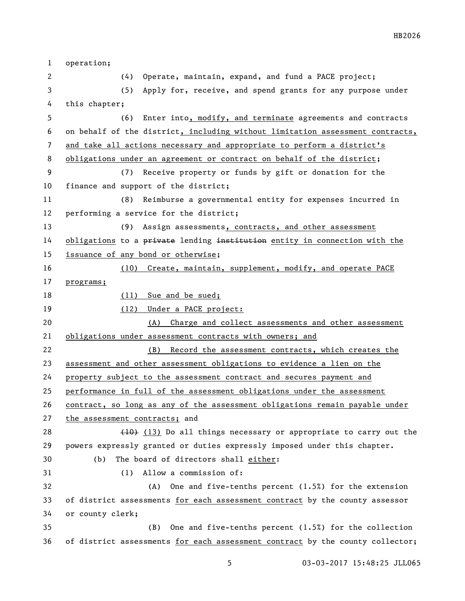| $\mathbf{1}$ | operation;                                                                    |  |  |
|--------------|-------------------------------------------------------------------------------|--|--|
| 2            | Operate, maintain, expand, and fund a PACE project;<br>(4)                    |  |  |
| 3            | (5)<br>Apply for, receive, and spend grants for any purpose under             |  |  |
| 4            | this chapter;                                                                 |  |  |
| 5            | (6)<br>Enter into, modify, and terminate agreements and contracts             |  |  |
| 6            | on behalf of the district, including without limitation assessment contracts, |  |  |
| 7            | and take all actions necessary and appropriate to perform a district's        |  |  |
| 8            | obligations under an agreement or contract on behalf of the district;         |  |  |
| 9            | Receive property or funds by gift or donation for the<br>(7)                  |  |  |
| 10           | finance and support of the district;                                          |  |  |
| 11           | Reimburse a governmental entity for expenses incurred in<br>(8)               |  |  |
| 12           | performing a service for the district;                                        |  |  |
| 13           | (9)<br>Assign assessments, contracts, and other assessment                    |  |  |
| 14           | obligations to a private lending institution entity in connection with the    |  |  |
| 15           | issuance of any bond or otherwise;                                            |  |  |
| 16           | Create, maintain, supplement, modify, and operate PACE<br>(10)                |  |  |
| 17           | programs;                                                                     |  |  |
| 18           | (11) Sue and be sued;                                                         |  |  |
| 19           | (12) Under a PACE project:                                                    |  |  |
| 20           | Charge and collect assessments and other assessment<br>(A)                    |  |  |
| 21           | obligations under assessment contracts with owners; and                       |  |  |
| 22           | Record the assessment contracts, which creates the<br>(B)                     |  |  |
| 23           | assessment and other assessment obligations to evidence a lien on the         |  |  |
| 24           | property subject to the assessment contract and secures payment and           |  |  |
| 25           | performance in full of the assessment obligations under the assessment        |  |  |
| 26           | contract, so long as any of the assessment obligations remain payable under   |  |  |
| 27           | the assessment contracts; and                                                 |  |  |
| 28           | $(10)$ (13) Do all things necessary or appropriate to carry out the           |  |  |
| 29           | powers expressly granted or duties expressly imposed under this chapter.      |  |  |
| 30           | The board of directors shall either:<br>(b)                                   |  |  |
| 31           | Allow a commission of:<br>(1)                                                 |  |  |
| 32           | One and five-tenths percent $(1.5%)$ for the extension<br>(A)                 |  |  |
| 33           | of district assessments for each assessment contract by the county assessor   |  |  |
| 34           | or county clerk;                                                              |  |  |
| 35           | One and five-tenths percent (1.5%) for the collection<br>(B)                  |  |  |
| 36           | of district assessments for each assessment contract by the county collector; |  |  |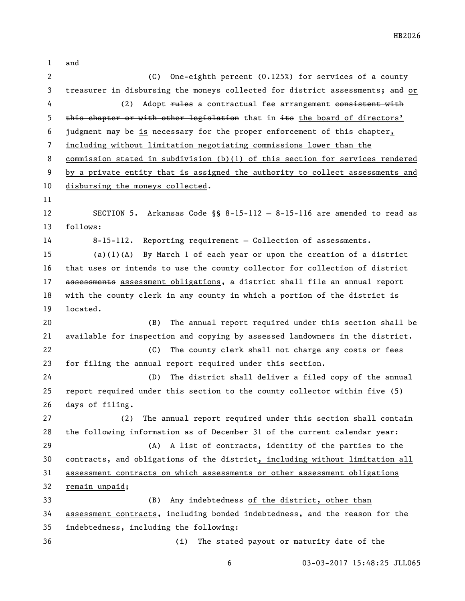and (C) One-eighth percent (0.125%) for services of a county 3 treasurer in disbursing the moneys collected for district assessments; and or 4 (2) Adopt rules a contractual fee arrangement consistent with 5 this chapter or with other legislation that in its the board of directors' judgment may be is necessary for the proper enforcement of this chapter, including without limitation negotiating commissions lower than the commission stated in subdivision (b)(1) of this section for services rendered by a private entity that is assigned the authority to collect assessments and disbursing the moneys collected. SECTION 5. Arkansas Code §§ 8-15-112 — 8-15-116 are amended to read as follows: 8-15-112. Reporting requirement — Collection of assessments. (a)(1)(A) By March 1 of each year or upon the creation of a district that uses or intends to use the county collector for collection of district 17 assessments assessment obligations, a district shall file an annual report with the county clerk in any county in which a portion of the district is located. (B) The annual report required under this section shall be available for inspection and copying by assessed landowners in the district. (C) The county clerk shall not charge any costs or fees for filing the annual report required under this section. (D) The district shall deliver a filed copy of the annual report required under this section to the county collector within five (5) days of filing. (2) The annual report required under this section shall contain the following information as of December 31 of the current calendar year: (A) A list of contracts, identity of the parties to the contracts, and obligations of the district, including without limitation all assessment contracts on which assessments or other assessment obligations remain unpaid; (B) Any indebtedness of the district, other than assessment contracts, including bonded indebtedness, and the reason for the indebtedness, including the following: (i) The stated payout or maturity date of the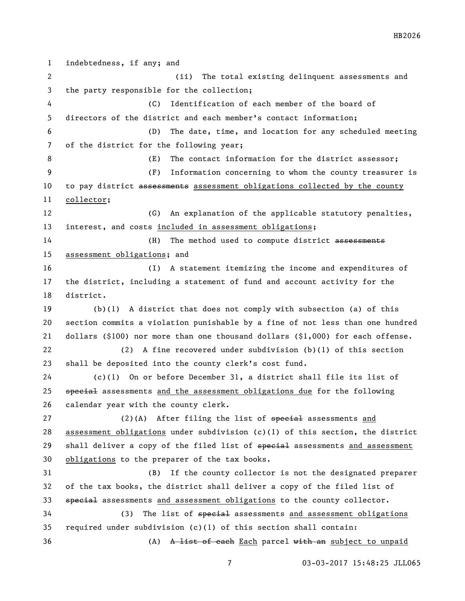indebtedness, if any; and (ii) The total existing delinquent assessments and the party responsible for the collection; (C) Identification of each member of the board of directors of the district and each member's contact information; (D) The date, time, and location for any scheduled meeting of the district for the following year; (E) The contact information for the district assessor; (F) Information concerning to whom the county treasurer is 10 to pay district assessments assessment obligations collected by the county collector; (G) An explanation of the applicable statutory penalties, interest, and costs included in assessment obligations; 14 (H) The method used to compute district assessments assessment obligations; and (I) A statement itemizing the income and expenditures of the district, including a statement of fund and account activity for the district. (b)(1) A district that does not comply with subsection (a) of this section commits a violation punishable by a fine of not less than one hundred dollars (\$100) nor more than one thousand dollars (\$1,000) for each offense. (2) A fine recovered under subdivision (b)(1) of this section shall be deposited into the county clerk's cost fund. (c)(1) On or before December 31, a district shall file its list of 25 special assessments and the assessment obligations due for the following calendar year with the county clerk. 27 (2)(A) After filing the list of special assessments and 28 assessment obligations under subdivision (c)(1) of this section, the district 29 shall deliver a copy of the filed list of special assessments and assessment obligations to the preparer of the tax books. (B) If the county collector is not the designated preparer of the tax books, the district shall deliver a copy of the filed list of 33 special assessments and assessment obligations to the county collector. 34 (3) The list of special assessments and assessment obligations required under subdivision (c)(1) of this section shall contain: 36 (A) A list of each Each parcel with an subject to unpaid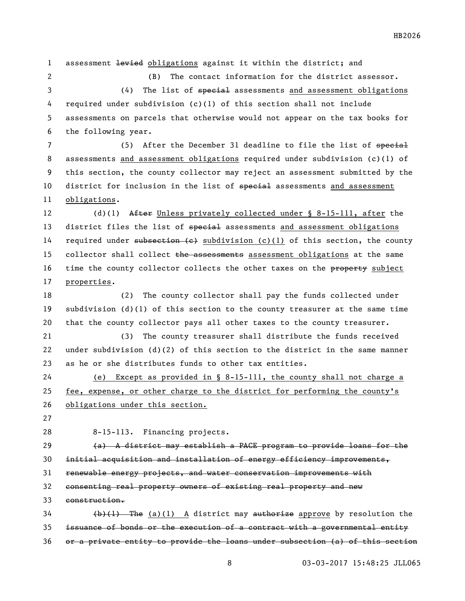1 assessment levied obligations against it within the district; and

 (B) The contact information for the district assessor. 3 (4) The list of <del>special</del> assessments and assessment obligations required under subdivision (c)(1) of this section shall not include assessments on parcels that otherwise would not appear on the tax books for the following year.

7 (5) After the December 31 deadline to file the list of special assessments and assessment obligations required under subdivision (c)(1) of this section, the county collector may reject an assessment submitted by the 10 district for inclusion in the list of special assessments and assessment obligations.

 (d)(1) After Unless privately collected under § 8-15-111, after the 13 district files the list of special assessments and assessment obligations 14 required under subsection  $(e)$  subdivision  $(c)(1)$  of this section, the county 15 collector shall collect the assessments assessment obligations at the same 16 time the county collector collects the other taxes on the property subject properties.

 (2) The county collector shall pay the funds collected under subdivision (d)(1) of this section to the county treasurer at the same time that the county collector pays all other taxes to the county treasurer.

 (3) The county treasurer shall distribute the funds received under subdivision (d)(2) of this section to the district in the same manner as he or she distributes funds to other tax entities.

 (e) Except as provided in § 8-15-111, the county shall not charge a fee, expense, or other charge to the district for performing the county's obligations under this section.

8-15-113. Financing projects.

 $(a)$  A district may establish a PACE program to provide loans for the initial acquisition and installation of energy efficiency improvements, renewable energy projects, and water conservation improvements with consenting real property owners of existing real property and new construction.

 (b)(1) The (a)(1) A district may authorize approve by resolution the issuance of bonds or the execution of a contract with a governmental entity or a private entity to provide the loans under subsection (a) of this section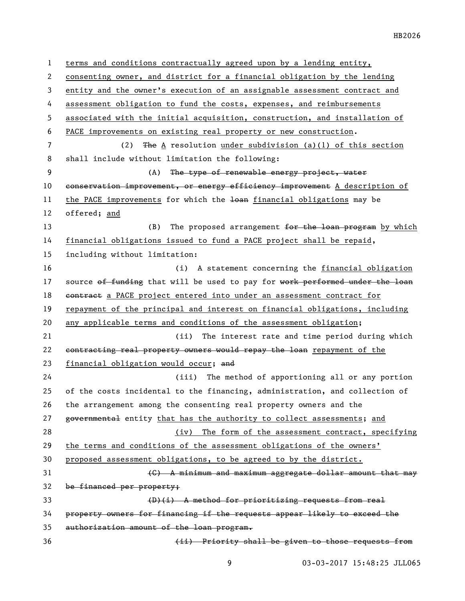terms and conditions contractually agreed upon by a lending entity, consenting owner, and district for a financial obligation by the lending entity and the owner's execution of an assignable assessment contract and assessment obligation to fund the costs, expenses, and reimbursements associated with the initial acquisition, construction, and installation of PACE improvements on existing real property or new construction. (2) The A resolution under subdivision (a)(1) of this section shall include without limitation the following: (A) The type of renewable energy project, water 10 conservation improvement, or energy efficiency improvement A description of 11 the PACE improvements for which the loan financial obligations may be offered; and 13 (B) The proposed arrangement <del>for the loan program</del> by which financial obligations issued to fund a PACE project shall be repaid, including without limitation: (i) A statement concerning the financial obligation 17 source of funding that will be used to pay for work performed under the loan 18 contract a PACE project entered into under an assessment contract for repayment of the principal and interest on financial obligations, including any applicable terms and conditions of the assessment obligation; (ii) The interest rate and time period during which 22 contracting real property owners would repay the loan repayment of the financial obligation would occur; and (iii) The method of apportioning all or any portion of the costs incidental to the financing, administration, and collection of the arrangement among the consenting real property owners and the 27 governmental entity that has the authority to collect assessments; and (iv) The form of the assessment contract, specifying the terms and conditions of the assessment obligations of the owners' proposed assessment obligations, to be agreed to by the district. (C) A minimum and maximum aggregate dollar amount that may be financed per property; (D)(i) A method for prioritizing requests from real property owners for financing if the requests appear likely to exceed the authorization amount of the loan program. (ii) Priority shall be given to those requests from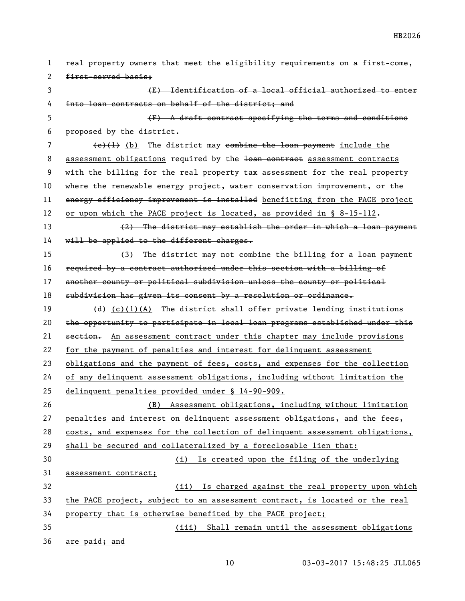real property owners that meet the eligibility requirements on a first-come, first-served basis; (E) Identification of a local official authorized to enter into loan contracts on behalf of the district; and (F) A draft contract specifying the terms and conditions proposed by the district.  $(e)(1)$  (b) The district may combine the loan payment include the 8 assessment obligations required by the loan contract assessment contracts with the billing for the real property tax assessment for the real property where the renewable energy project, water conservation improvement, or the 11 energy efficiency improvement is installed benefitting from the PACE project or upon which the PACE project is located, as provided in § 8-15-112. 13 (2) The district may establish the order in which a loan payment 14 will be applied to the different charges. (3) The district may not combine the billing for a loan payment required by a contract authorized under this section with a billing of another county or political subdivision unless the county or political subdivision has given its consent by a resolution or ordinance. 19 (d) (c)(1)(A) The district shall offer private lending institutions the opportunity to participate in local loan programs established under this 21 section. An assessment contract under this chapter may include provisions for the payment of penalties and interest for delinquent assessment obligations and the payment of fees, costs, and expenses for the collection of any delinquent assessment obligations, including without limitation the delinquent penalties provided under § 14-90-909. (B) Assessment obligations, including without limitation penalties and interest on delinquent assessment obligations, and the fees, costs, and expenses for the collection of delinquent assessment obligations, shall be secured and collateralized by a foreclosable lien that: (i) Is created upon the filing of the underlying assessment contract; (ii) Is charged against the real property upon which the PACE project, subject to an assessment contract, is located or the real property that is otherwise benefited by the PACE project; (iii) Shall remain until the assessment obligations are paid; and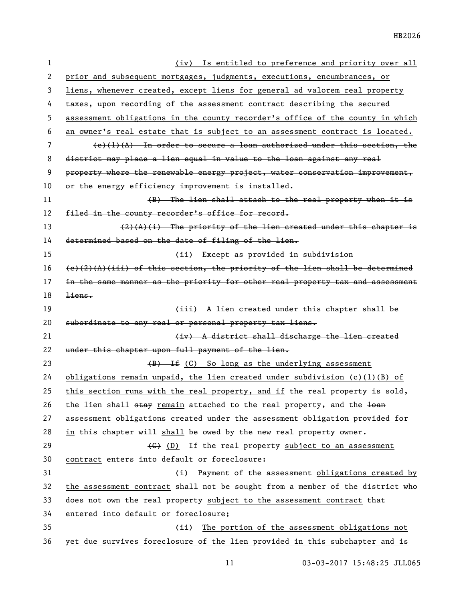| 1  | (iv) Is entitled to preference and priority over all                            |
|----|---------------------------------------------------------------------------------|
| 2  | prior and subsequent mortgages, judgments, executions, encumbrances, or         |
| 3  | liens, whenever created, except liens for general ad valorem real property      |
| 4  | taxes, upon recording of the assessment contract describing the secured         |
| 5  | assessment obligations in the county recorder's office of the county in which   |
| 6  | an owner's real estate that is subject to an assessment contract is located.    |
| 7  | $(e)(1)(A)$ In order to secure a loan authorized under this section, the        |
| 8  | district may place a lien equal in value to the loan against any real           |
| 9  | property where the renewable energy project, water conservation improvement,    |
| 10 | or the energy efficiency improvement is installed.                              |
| 11 | (B) The lien shall attach to the real property when it is                       |
| 12 | filed in the county recorder's office for record.                               |
| 13 | $(2)$ $(h)$ $(i)$ The priority of the lien created under this chapter is        |
| 14 | determined based on the date of filing of the lien.                             |
| 15 | (ii) Except as provided in subdivision                                          |
| 16 | $(e)$ (2)(A)(iii) of this section, the priority of the lien shall be determined |
| 17 | in the same manner as the priority for other real property tax and assessment   |
| 18 | $\frac{1}{2}$ iens.                                                             |
| 19 | (iii) A lien created under this chapter shall be                                |
| 20 | subordinate to any real or personal property tax liens.                         |
| 21 | (iv) A district shall discharge the lien created                                |
| 22 | under this chapter upon full payment of the lien.                               |
| 23 | (B) If (C) So long as the underlying assessment                                 |
| 24 | obligations remain unpaid, the lien created under subdivision $(c)(1)(B)$ of    |
| 25 | this section runs with the real property, and if the real property is sold,     |
| 26 | the lien shall stay remain attached to the real property, and the loan          |
| 27 | assessment obligations created under the assessment obligation provided for     |
| 28 | in this chapter will shall be owed by the new real property owner.              |
| 29 | (G) (D) If the real property subject to an assessment                           |
| 30 | contract enters into default or foreclosure:                                    |
| 31 | Payment of the assessment obligations created by<br>(i)                         |
| 32 | the assessment contract shall not be sought from a member of the district who   |
| 33 | does not own the real property subject to the assessment contract that          |
| 34 | entered into default or foreclosure;                                            |
| 35 | (ii)<br>The portion of the assessment obligations not                           |
| 36 | yet due survives foreclosure of the lien provided in this subchapter and is     |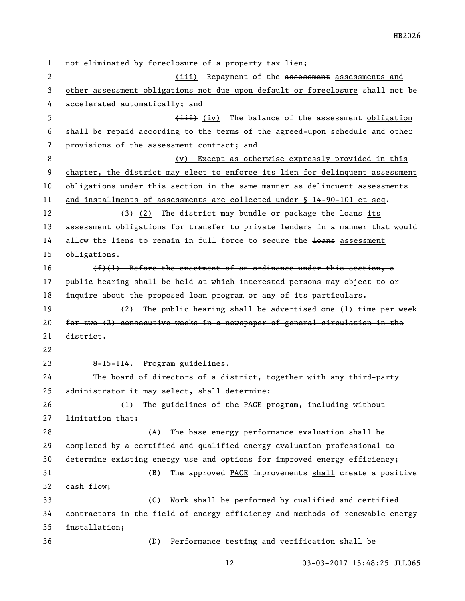not eliminated by foreclosure of a property tax lien; 2 (iii) Repayment of the assessment assessments and other assessment obligations not due upon default or foreclosure shall not be 4 accelerated automatically; and 5 (iii) (iv) The balance of the assessment obligation shall be repaid according to the terms of the agreed-upon schedule and other provisions of the assessment contract; and 8 (v) Except as otherwise expressly provided in this chapter, the district may elect to enforce its lien for delinquent assessment obligations under this section in the same manner as delinquent assessments and installments of assessments are collected under § 14-90-101 et seq.  $\left(3\right)$  (2) The district may bundle or package the loans its assessment obligations for transfer to private lenders in a manner that would 14 allow the liens to remain in full force to secure the loans assessment obligations.  $(f)(1)$  Before the enactment of an ordinance under this section, a public hearing shall be held at which interested persons may object to or 18 inquire about the proposed loan program or any of its particulars. (2) The public hearing shall be advertised one (1) time per week for two (2) consecutive weeks in a newspaper of general circulation in the district. 8-15-114. Program guidelines. The board of directors of a district, together with any third-party administrator it may select, shall determine: (1) The guidelines of the PACE program, including without limitation that: (A) The base energy performance evaluation shall be completed by a certified and qualified energy evaluation professional to determine existing energy use and options for improved energy efficiency; (B) The approved PACE improvements shall create a positive cash flow; (C) Work shall be performed by qualified and certified contractors in the field of energy efficiency and methods of renewable energy installation; (D) Performance testing and verification shall be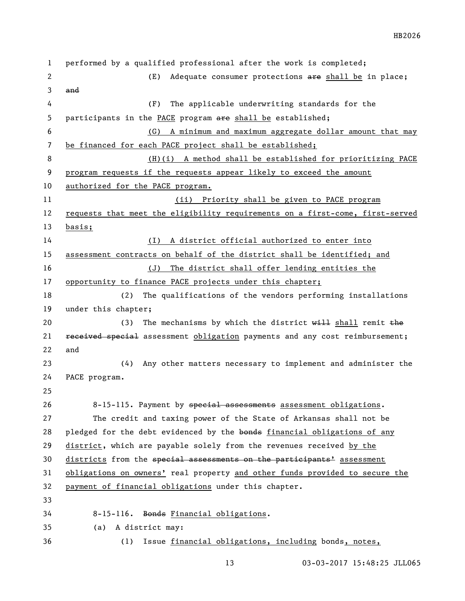performed by a qualified professional after the work is completed; 2 (E) Adequate consumer protections are shall be in place; and (F) The applicable underwriting standards for the 5 participants in the PACE program are shall be established; (G) A minimum and maximum aggregate dollar amount that may be financed for each PACE project shall be established; (H)(i) A method shall be established for prioritizing PACE program requests if the requests appear likely to exceed the amount authorized for the PACE program. (ii) Priority shall be given to PACE program requests that meet the eligibility requirements on a first-come, first-served basis; (I) A district official authorized to enter into assessment contracts on behalf of the district shall be identified; and (J) The district shall offer lending entities the 17 opportunity to finance PACE projects under this chapter; (2) The qualifications of the vendors performing installations under this chapter; 20 (3) The mechanisms by which the district  $\frac{1}{2}$  shall remit the **received special** assessment obligation payments and any cost reimbursement; and (4) Any other matters necessary to implement and administer the PACE program. 26 8-15-115. Payment by special assessments assessment obligations. The credit and taxing power of the State of Arkansas shall not be 28 pledged for the debt evidenced by the bonds financial obligations of any district, which are payable solely from the revenues received by the 30 districts from the special assessments on the participants<sup>1</sup> assessment obligations on owners' real property and other funds provided to secure the payment of financial obligations under this chapter. 8-15-116. Bonds Financial obligations. (a) A district may: (1) Issue financial obligations, including bonds, notes,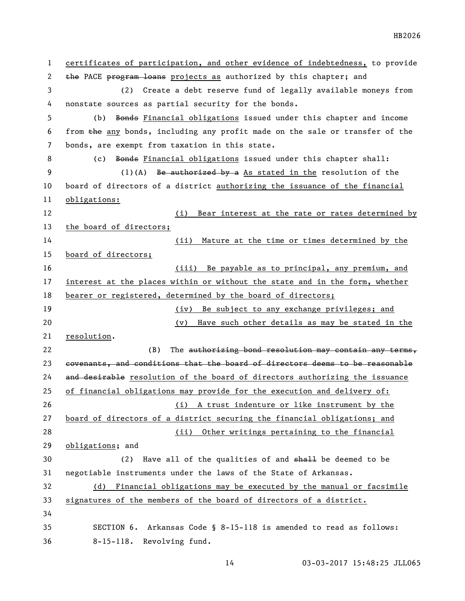certificates of participation, and other evidence of indebtedness, to provide 2 the PACE program loans projects as authorized by this chapter; and (2) Create a debt reserve fund of legally available moneys from nonstate sources as partial security for the bonds. (b) Bonds Financial obligations issued under this chapter and income from the any bonds, including any profit made on the sale or transfer of the bonds, are exempt from taxation in this state. 8 (c) Bonds Financial obligations issued under this chapter shall: 9 (1)(A) Be authorized by a As stated in the resolution of the board of directors of a district authorizing the issuance of the financial obligations: (i) Bear interest at the rate or rates determined by the board of directors; (ii) Mature at the time or times determined by the board of directors; (iii) Be payable as to principal, any premium, and interest at the places within or without the state and in the form, whether bearer or registered, determined by the board of directors; (iv) Be subject to any exchange privileges; and (v) Have such other details as may be stated in the resolution. 22 (B) The authorizing bond resolution may contain any terms, 23 covenants, and conditions that the board of directors deems to be reasonable 24 and desirable resolution of the board of directors authorizing the issuance of financial obligations may provide for the execution and delivery of: (i) A trust indenture or like instrument by the board of directors of a district securing the financial obligations; and (ii) Other writings pertaining to the financial obligations; and 30 (2) Have all of the qualities of and shall be deemed to be negotiable instruments under the laws of the State of Arkansas. (d) Financial obligations may be executed by the manual or facsimile signatures of the members of the board of directors of a district. SECTION 6. Arkansas Code § 8-15-118 is amended to read as follows: 8-15-118. Revolving fund.